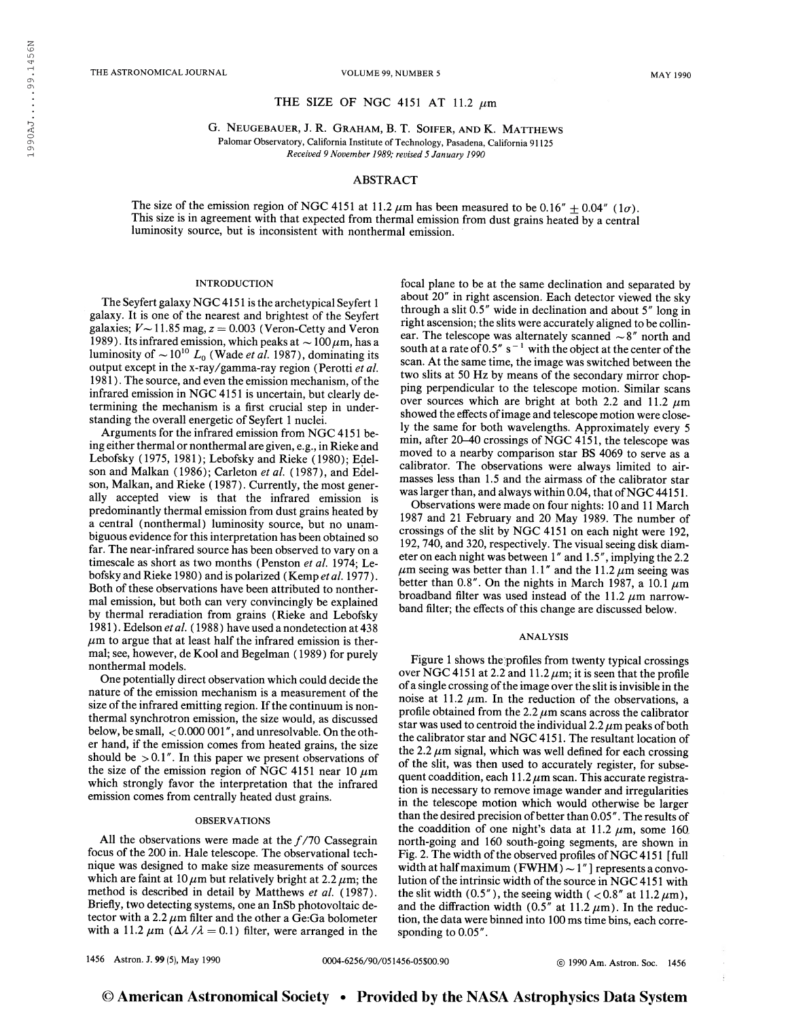# THE SIZE OF NGC 4151 AT 11.2  $\mu$ m

G. Neugebauer, J. R. Graham, B. T. Soifer, and K. Matthews

Palomar Observatory, California Institute of Technology, Pasadena, California 91125 Received 9 November 1989; revised 5 January 1990

# ABSTRACT

The size of the emission region of NGC 4151 at 11.2  $\mu$ m has been measured to be 0.16" + 0.04" (1 $\sigma$ ). This size is in agreement with that expected from thermal emission from dust grains heated by a central luminosity source, but is inconsistent with nonthermal emission.

## INTRODUCTION

The Seyfert galaxy NGC 4151 is the archetypical Seyfert <sup>1</sup> galaxy. It is one of the nearest and brightest of the Seyfert galaxies;  $V \sim 11.85$  mag,  $z = 0.003$  (Veron-Cetty and Veron 1989). Its infrared emission, which peaks at  $\sim$  100  $\mu$ m, has a luminosity of  $\sim 10^{10} L_0$  (Wade *et al.* 1987), dominating its output except in the x-ray/gamma-ray region (Perotti et al. 1981). The source, and even the emission mechanism, of the infrared emission in NGC 4151 is uncertain, but clearly determining the mechanism is a first crucial step in understanding the overall energetic of Seyfert <sup>1</sup> nuclei.

Arguments for the infrared emission from NGC 4151 being either thermal or nonthermal are given, e.g., in Rieke and Lebofsky (1975, 1981); Lebofsky and Rieke (1980); Edelson and Malkan (1986); Carleton et al. (1987), and Edelson, Malkan, and Rieke (1987). Currently, the most generally accepted view is that the infrared emission is predominantly thermal emission from dust grains heated by a central (nonthermal) luminosity source, but no unambiguous evidence for this interpretation has been obtained so far. The near-infrared source has been observed to vary on a timescale as short as two months (Penston et al. 1974; Lebofsky and Rieke 1980) and is polarized (Kemp et al. 1977). Both of these observations have been attributed to nonthermal emission, but both can very convincingly be explained by thermal reradiation from grains (Rieke and Lebofsky 1981). Edelson et al. (1988) have used a nondetection at 438  $\mu$ m to argue that at least half the infrared emission is thermal; see, however, de Kool and Begelman ( 1989) for purely nonthermal models.

One potentially direct observation which could decide the nature of the emission mechanism is a measurement of the size of the infrared emitting region. If the continuum is nonthermal synchrotron emission, the size would, as discussed below, be small, < 0.000 001", and unresolvable. On the other hand, if the emission comes from heated grains, the size should be  $>0.1$ ". In this paper we present observations of the size of the emission region of NGC 4151 near 10  $\mu$ m which strongly favor the interpretation that the infrared emission comes from centrally heated dust grains.

#### OBSERVATIONS

All the observations were made at the  $f/70$  Cassegrain focus of the 200 in. Hale telescope. The observational technique was designed to make size measurements of sources which are faint at 10  $\mu$ m but relatively bright at 2.2  $\mu$ m; the method is described in detail by Matthews et al. (1987). Briefly, two detecting systems, one an InSb photovoltaic detector with a 2.2  $\mu$ m filter and the other a Ge:Ga bolometer with a 11.2  $\mu$ m ( $\Delta \lambda / \lambda = 0.1$ ) filter, were arranged in the

focal plane to be at the same declination and separated by about 20" in right ascension. Each detector viewed the sky through a slit 0.5" wide in declination and about 5" long in right ascension; the slits were accurately aligned to be collinear. The telescope was alternately scanned  $\sim 8''$  north and south at a rate of  $0.5''$  s<sup>-1</sup> with the object at the center of the scan. At the same time, the image was switched between the two slits at 50 Hz by means of the secondary mirror chopping perpendicular to the telescope motion. Similar scans over sources which are bright at both 2.2 and 11.2  $\mu$ m showed the effects of image and telescope motion were closely the same for both wavelengths. Approximately every 5 min, after 20-40 crossings of NGC 4151, the telescope was moved to a nearby comparison star BS 4069 to serve as a calibrator. The observations were always limited to airmasses less than 1.5 and the airmass of the calibrator star was larger than, and always within 0.04, that of NGC 44151.

Observations were made on four nights: 10 and 11 March 1987 and 21 February and 20 May 1989. The number of crossings of the slit by NGC 4151 on each night were 192, 192, 740, and 320, respectively. The visual seeing disk diameter on each night was between 1" and 1.5", implying the 2.2  $\mu$ m seeing was better than 1.1" and the 11.2  $\mu$ m seeing was better than 0.8". On the nights in March 1987, a 10.1  $\mu$ m broadband filter was used instead of the 11.2  $\mu$ m narrowband filter; the effects of this change are discussed below.

### ANALYSIS

Figure <sup>1</sup> shows the profiles from twenty typical crossings over NGC 4151 at 2.2 and 11.2  $\mu$ m; it is seen that the profile ofa single crossing ofthe image over the slitis invisible in the noise at 11.2  $\mu$ m. In the reduction of the observations, a profile obtained from the 2.2  $\mu$ m scans across the calibrator star was used to centroid the individual  $2.2 \mu m$  peaks of both the calibrator star and NGC 4151. The resultant location of the 2.2  $\mu$ m signal, which was well defined for each crossing of the slit, was then used to accurately register, for subsequent coaddition, each  $11.2 \mu$ m scan. This accurate registration is necessary to remove image wander and irregularities in the telescope motion which would otherwise be larger than the desired precision of better than 0.05". The results of the coaddition of one night's data at 11.2  $\mu$ m, some 160. north-going and 160 south-going segments, are shown in Fig. 2. The width of the observed profiles of NGC 4151 [full width at half maximum ( $FWHM$ )  $\sim$  1"] represents a convolution of the intrinsic width of the source in NGC 4151 with the slit width (0.5"), the seeing width ( $\langle$  0.8" at 11.2  $\mu$ m), and the diffraction width (0.5" at 11.2  $\mu$ m). In the reduction, the data were binned into 100 ms time bins, each corresponding to 0.05".

1456 Astron. J. 99 (5), May 1990 0004-6256/90/051456-05\$00.90 © 1990 Am. Astron. Soc. 1456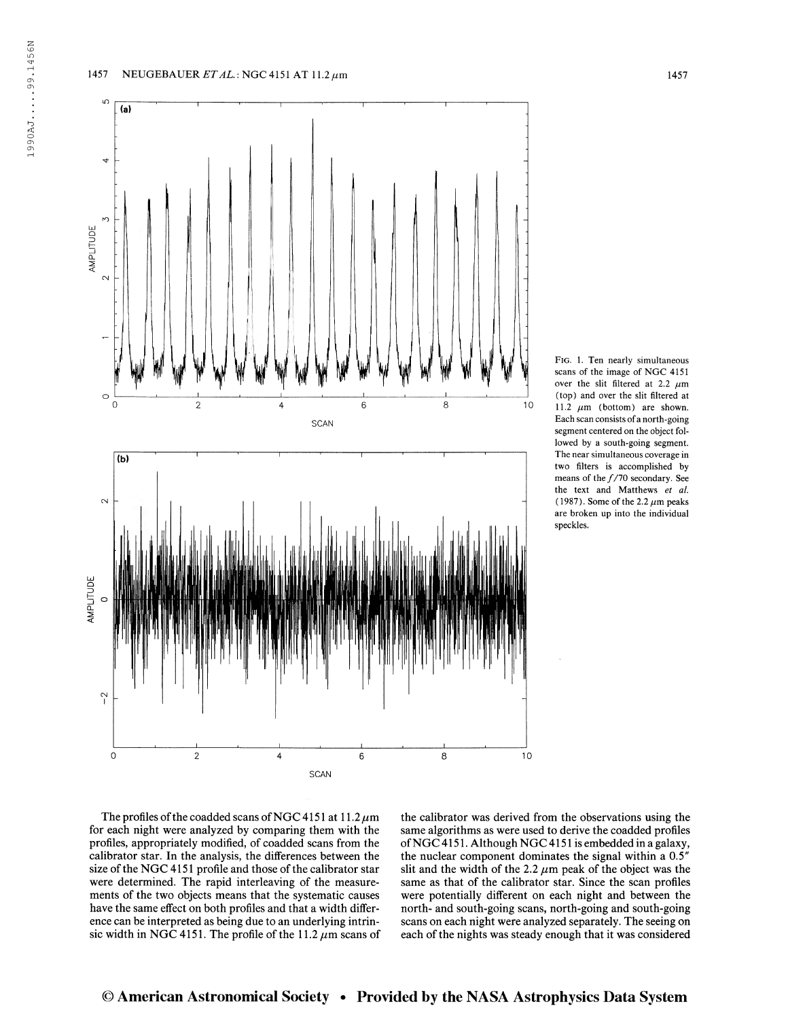#### 1457 NEUGEBAUER  $ETAL$ : NGC 4151 AT 11.2  $\mu$ m 1457



Fig. 1. Ten nearly simultaneous scans of the image of NGC 4151 over the slit filtered at 2.2  $\mu$ m (top) and over the slit filtered at 11.2  $\mu$ m (bottom) are shown. Each scan consists ofa north-going segment centered on the object followed by a south-going segment. The near simultaneous coverage in two filters is accomplished by means of the  $f/70$  secondary. See the text and Matthews et al. (1987). Some of the 2.2  $\mu$ m peaks are broken up into the individual speckles.

The profiles of the coadded scans of NGC 4151 at  $11.2 \mu m$ for each night were analyzed by comparing them with the profiles, appropriately modified, of coadded scans from the calibrator star. In the analysis, the differences between the size of the NGC 4151 profile and those of the calibrator star were determined. The rapid interleaving of the measurements of the two objects means that the systematic causes have the same effect on both profiles and that a width difference can be interpreted as being due to an underlying intrinsic width in NGC 4151. The profile of the 11.2  $\mu$ m scans of

the calibrator was derived from the observations using the same algorithms as were used to derive the coadded profiles ofNGC 4151. Although NGC 4151 is embedded in a galaxy, the nuclear component dominates the signal within a 0.5" slit and the width of the 2.2  $\mu$ m peak of the object was the same as that of the calibrator star. Since the scan profiles were potentially different on each night and between the north- and south-going scans, north-going and south-going scans on each night were analyzed separately. The seeing on each of the nights was steady enough that it was considered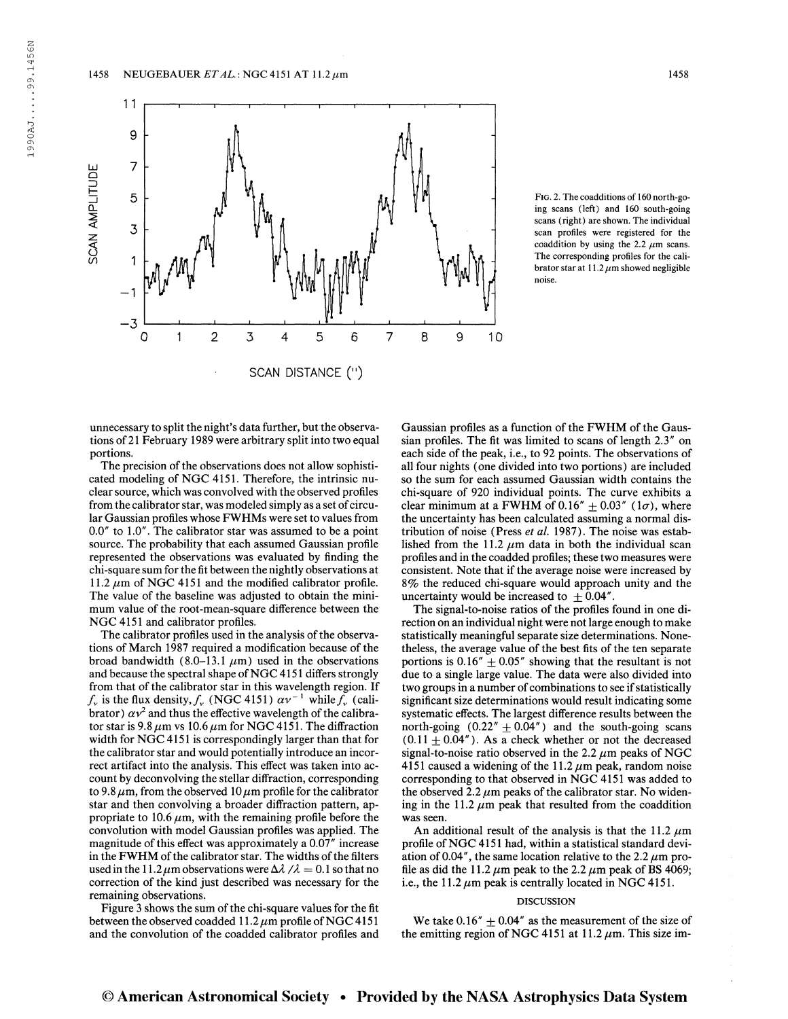

Fig. 2. The coadditions of 160 north-going scans (left) and 160 south-going scans (right) are shown. The individual scan profiles were registered for the coaddition by using the 2.2  $\mu$ m scans. The corresponding profiles for the calibrator star at  $11.2 \mu m$  showed negligible noise.

unnecessary to split the night's data further, but the observations of 21 February 1989 were arbitrary split into two equal portions.

The precision of the observations does not allow sophisticated modeling of NGC 4151. Therefore, the intrinsic nuclearsource, which was convolved with the observed profiles from the calibrator star, was modeled simply as a set of circular Gaussian profiles whose FWHMs were set to values from 0.0" to 1.0". The calibrator star was assumed to be a point source. The probability that each assumed Gaussian profile represented the observations was evaluated by finding the chi-square sum forthe fit between the nightly observations at 11.2  $\mu$ m of NGC 4151 and the modified calibrator profile. The value of the baseline was adjusted to obtain the minimum value of the root-mean-square difference between the NGC 4151 and calibrator profiles.

The calibrator profiles used in the analysis of the observations of March 1987 required a modification because of the broad bandwidth (8.0–13.1  $\mu$ m) used in the observations and because the spectral shape of NGC 4151 differs strongly from that of the calibrator star in this wavelength region. If  $f_v$  is the flux density,  $f_v$  (NGC 4151)  $\alpha v^{-1}$  while  $f_v$  (calibrator)  $\alpha v^2$  and thus the effective wavelength of the calibrator star is 9.8  $\mu$ m vs 10.6  $\mu$ m for NGC 4151. The diffraction width for NGC 4151 is correspondingly larger than that for the calibrator star and would potentially introduce an incorrect artifact into the analysis. This effect was taken into account by deconvolving the stellar diffraction, corresponding to 9.8  $\mu$ m, from the observed 10  $\mu$ m profile for the calibrator star and then convolving a broader diffraction pattern, appropriate to 10.6  $\mu$ m, with the remaining profile before the convolution with model Gaussian profiles was applied. The magnitude of this effect was approximately a 0.07" increase in the FWHM of the calibrator star. The widths of the filters used in the 11.2  $\mu$ m observations were  $\Delta\lambda/\lambda = 0.1$  so that no correction of the kind just described was necessary for the remaining observations.

Figure 3 shows the sum of the chi-square values for the fit between the observed coadded 11.2  $\mu$ m profile of NGC 4151 and the convolution of the coadded calibrator profiles and

Gaussian profiles as a function of the FWHM of the Gaussian profiles. The fit was limited to scans of length 2.3" on each side of the peak, i.e., to 92 points. The observations of all four nights (one divided into two portions) are included so the sum for each assumed Gaussian width contains the chi-square of 920 individual points. The curve exhibits a clear minimum at a FWHM of  $0.16'' + 0.03''$  ( $1\sigma$ ), where the uncertainty has been calculated assuming a normal distribution of noise (Press et al. 1987). The noise was established from the 11.2  $\mu$ m data in both the individual scan profiles and in the coadded profiles; these two measures were consistent. Note that if the average noise were increased by 8% the reduced chi-square would approach unity and the uncertainty would be increased to  $\pm$  0.04".

The signal-to-noise ratios of the profiles found in one direction on an individual night were not large enough to make statistically meaningful separate size determinations. Nonetheless, the average value of the best fits of the ten separate portions is 0.16"  $\pm$  0.05" showing that the resultant is not due to a single large value. The data were also divided into two groups in a number of combinations to see if statistically significant size determinations would result indicating some systematic effects. The largest difference results between the north-going  $(0.22'' + 0.04'')$  and the south-going scans  $(0.11 \pm 0.04)$ . As a check whether or not the decreased signal-to-noise ratio observed in the 2.2  $\mu$ m peaks of NGC 4151 caused a widening of the 11.2  $\mu$ m peak, random noise corresponding to that observed in NGC 4151 was added to the observed 2.2  $\mu$ m peaks of the calibrator star. No widening in the 11.2  $\mu$ m peak that resulted from the coaddition was seen.

An additional result of the analysis is that the 11.2  $\mu$ m profile of NGC 4151 had, within a statistical standard deviation of 0.04", the same location relative to the 2.2  $\mu$ m profile as did the 11.2  $\mu$ m peak to the 2.2  $\mu$ m peak of BS 4069; i.e., the 11.2  $\mu$ m peak is centrally located in NGC 4151.

## DISCUSSION

We take  $0.16'' + 0.04''$  as the measurement of the size of the emitting region of NGC 4151 at 11.2  $\mu$ m. This size im-

# © American Astronomical Society • Provided by the NASA Astrophysics Data System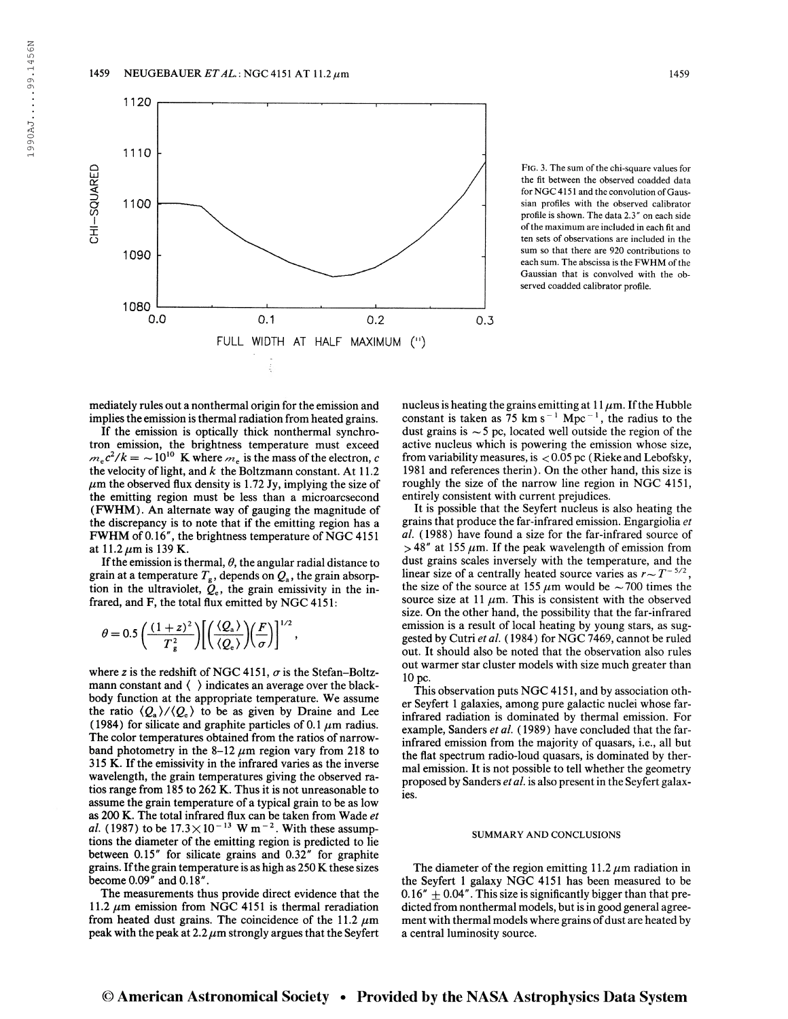

FIG. 3. The sum of the chi-square values for the fit between the observed coadded data for NGC 4151 and the convolution of Gaussian profiles with the observed calibrator profile is shown. The data 2.3" on each side of the maximum are included in each fit and ten sets of observations are included in the sum so that there are 920 contributions to each sum. The abscissa is the FWHM of the Gaussian that is convolved with the observed coadded calibrator profile.

mediately rules out a nonthermal origin for the emission and implies the emission is thermal radiation from heated grains.

If the emission is optically thick nonthermal synchrotron emission, the brightness temperature must exceed  $m_{\rm e}c^2/k = \sim 10^{10}$  K where  $m_{\rm e}$  is the mass of the electron, c the velocity of light, and  $k$  the Boltzmann constant. At 11.2  $\mu$ m the observed flux density is 1.72 Jy, implying the size of the emitting region must be less than a microarcsecond (FWHM). An alternate way of gauging the magnitude of the discrepancy is to note that if the emitting region has a FWHM of 0.16", the brightness temperature of NGC 4151 at  $11.2 \mu m$  is 139 K.

If the emission is thermal,  $\theta$ , the angular radial distance to grain at a temperature  $T_g$ , depends on  $Q_a$ , the grain absorption in the ultraviolet,  $\tilde{Q}_e$ , the grain emissivity in the infrared, and F, the total flux emitted by NGC 4151:

$$
\theta = 0.5 \left( \frac{(1+z)^2}{T_g^2} \right) \left[ \left( \frac{\langle Q_a \rangle}{\langle Q_c \rangle} \right) \left( \frac{F}{\sigma} \right) \right]^{1/2},
$$

where z is the redshift of NGC 4151,  $\sigma$  is the Stefan-Boltzmann constant and  $\langle \rangle$  indicates an average over the blackbody function at the appropriate temperature. We assume body function at the appropriate temperature. We assume<br>the ratio  $\langle Q_a \rangle / \langle Q_c \rangle$  to be as given by Draine and Lee (1984) for silicate and graphite particles of 0.1  $\mu$ m radius. The color temperatures obtained from the ratios of narrowband photometry in the 8-12  $\mu$ m region vary from 218 to  $315$  K. If the emissivity in the infrared varies as the inverse wavelength, the grain temperatures giving the observed ratios range from 185 to 262 K. Thus it is not unreasonable to assume the grain temperature of a typical grain to be as low as 200 K. The total infrared flux can be taken from Wade et al. (1987) to be  $17.3 \times 10^{-13}$  W m<sup>-2</sup>. With these assumptions the diameter of the emitting region is predicted to lie between 0.15" for silicate grains and 0.32" for graphite grains. Ifthe grain temperature is as high as 250 K these sizes become 0.09" and 0.18".

The measurements thus provide direct evidence that the 11.2  $\mu$ m emission from NGC 4151 is thermal reradiation from heated dust grains. The coincidence of the 11.2  $\mu$ m peak with the peak at  $2.2 \mu m$  strongly argues that the Seyfert nucleus is heating the grains emitting at  $11 \mu$ m. If the Hubble constant is taken as 75 km s<sup>-1</sup> Mpc<sup>-1</sup>, the radius to the dust grains is  $\sim$  5 pc, located well outside the region of the active nucleus which is powering the emission whose size, from variability measures, is  $< 0.05$  pc (Rieke and Lebofsky, 1981 and references therin). On the other hand, this size is roughly the size of the narrow line region in NGC 4151, entirely consistent with current prejudices.

It is possible that the Seyfert nucleus is also heating the grains that produce the far-infrared emission. Engargiolia et al. (1988) have found a size for the far-infrared source of  $>48''$  at 155  $\mu$ m. If the peak wavelength of emission from dust grains scales inversely with the temperature, and the dust grains scales inversely with the temperature, and the linear size of a centrally heated source varies as  $r \sim T^{-5/2}$ , the size of the source at 155  $\mu$ m would be  $\sim$  700 times the source size at 11  $\mu$ m. This is consistent with the observed size. On the other hand, the possibility that the far-infrared emission is a result of local heating by young stars, as suggested by Cutri et al. (1984) for NGC 7469, cannot be ruled out. It should also be noted that the observation also rules out warmer star cluster models with size much greater than 10 pc.

This observation puts NGC 4151, and by association other Seyfert <sup>1</sup> galaxies, among pure galactic nuclei whose farinfrared radiation is dominated by thermal emission. For example, Sanders et al. (1989) have concluded that the farinfrared emission from the majority of quasars, i.e., all but the flat spectrum radio-loud quasars, is dominated by thermal emission. It is not possible to tell whether the geometry proposed by Sanders *et al.* is also present in the Seyfert galaxies.

#### SUMMARY AND CONCLUSIONS

The diameter of the region emitting 11.2  $\mu$ m radiation in the Seyfert <sup>1</sup> galaxy NGC 4151 has been measured to be  $0.16'' + 0.04''$ . This size is significantly bigger than that predicted from nonthermal models, but is in good general agreement with thermal models where grains of dust are heated by a central luminosity source.

# © American Astronomical Society • Provided by the NASA Astrophysics Data System